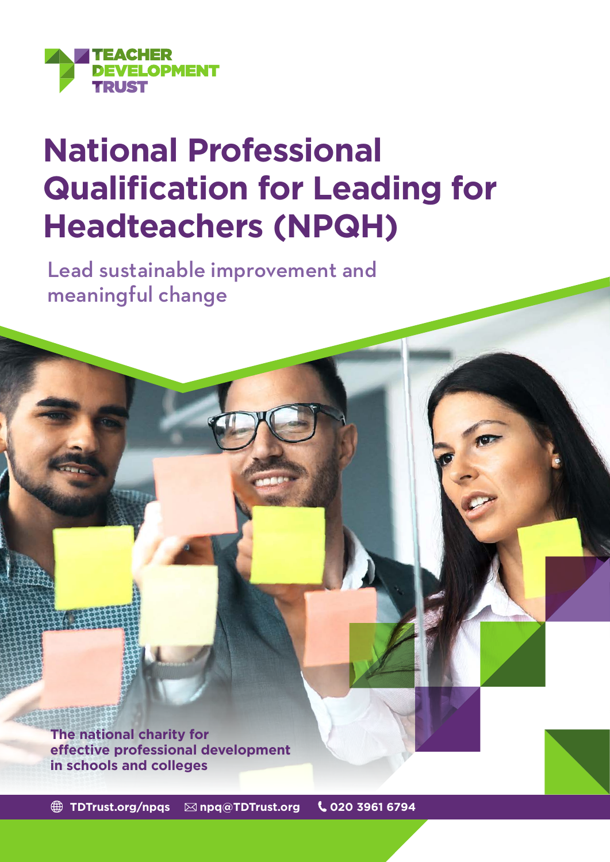

# **National Professional Qualification for Leading for Headteachers (NPQH)**

Lead sustainable improvement and meaningful change

**The national charity for effective professional development in schools and colleges**

 **[TDTrust.org/npqs](https://tdtrust.org/npqs-from-the-teacher-development-trust-2/) [npq@TDTrust.org](mailto:npq%40TDTrust.org?subject=) 020 3961 6794**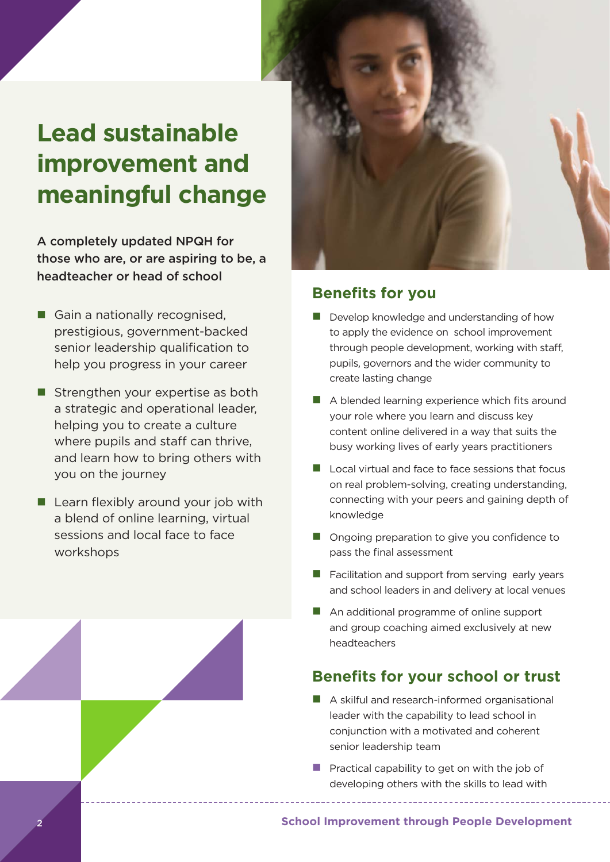# **Lead sustainable improvement and meaningful change**

A completely updated NPQH for those who are, or are aspiring to be, a headteacher or head of school

- Gain a nationally recognised, prestigious, government-backed senior leadership qualification to help you progress in your career
- $\blacksquare$  Strengthen your expertise as both a strategic and operational leader, helping you to create a culture where pupils and staff can thrive, and learn how to bring others with you on the journey
- $\blacksquare$  Learn flexibly around your job with a blend of online learning, virtual sessions and local face to face workshops



## **Benefits for you**

- $\blacksquare$  Develop knowledge and understanding of how to apply the evidence on school improvement through people development, working with staff, pupils, governors and the wider community to create lasting change
- $\blacksquare$  A blended learning experience which fits around your role where you learn and discuss key content online delivered in a way that suits the busy working lives of early years practitioners
- $\blacksquare$  Local virtual and face to face sessions that focus on real problem-solving, creating understanding, connecting with your peers and gaining depth of knowledge
- $\Box$  Ongoing preparation to give you confidence to pass the final assessment
- $\blacksquare$  Facilitation and support from serving early years and school leaders in and delivery at local venues
- n An additional programme of online support and group coaching aimed exclusively at new headteachers

# **Benefits for your school or trust**

- $\blacksquare$  A skilful and research-informed organisational leader with the capability to lead school in conjunction with a motivated and coherent senior leadership team
- **Practical capability to get on with the job of** developing others with the skills to lead with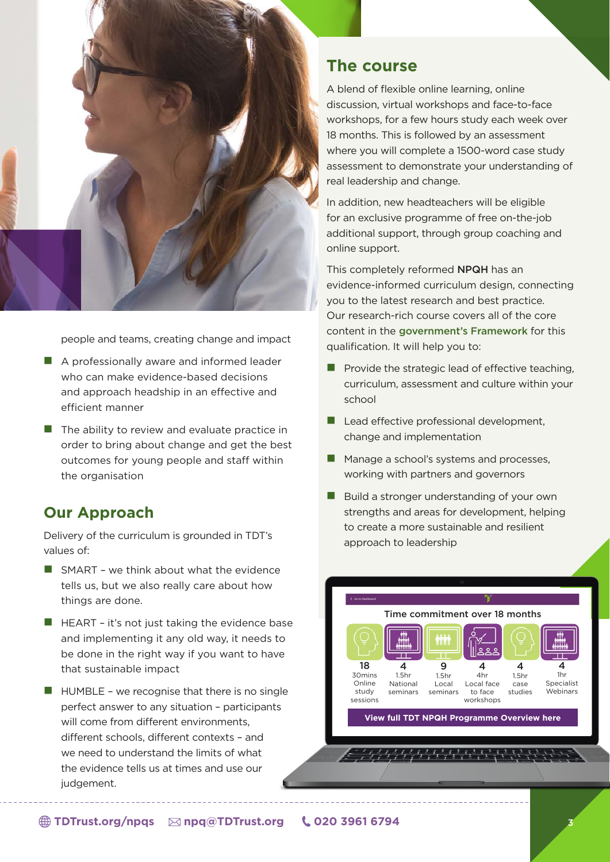

people and teams, creating change and impact

- $\blacksquare$  A professionally aware and informed leader who can make evidence-based decisions and approach headship in an effective and efficient manner
- $\blacksquare$  The ability to review and evaluate practice in order to bring about change and get the best outcomes for young people and staff within the organisation

## **Our Approach**

Delivery of the curriculum is grounded in TDT's values of:

- $\blacksquare$  SMART we think about what the evidence tells us, but we also really care about how things are done.
- $\blacksquare$  HEART it's not just taking the evidence base and implementing it any old way, it needs to be done in the right way if you want to have that sustainable impact
- $\blacksquare$  HUMBLE we recognise that there is no single perfect answer to any situation – participants will come from different environments. different schools, different contexts – and we need to understand the limits of what the evidence tells us at times and use our judgement.

### **The course**

A blend of flexible online learning, online discussion, virtual workshops and face-to-face workshops, for a few hours study each week over 18 months. This is followed by an assessment where you will complete a 1500-word case study assessment to demonstrate your understanding of real leadership and change.

In addition, new headteachers will be eligible for an exclusive programme of free on-the-job additional support, through group coaching and online support.

This completely reformed NPQH has an evidence-informed curriculum design, connecting you to the latest research and best practice. Our research-rich course covers all of the core content in the [government's Framework](https://assets.publishing.service.gov.uk/government/uploads/system/uploads/attachment_data/file/925507/NPQ_Headship.pdf) for this qualification. It will help you to:

- $\blacksquare$  Provide the strategic lead of effective teaching, curriculum, assessment and culture within your school
- $\blacksquare$  Lead effective professional development, change and implementation
- $\blacksquare$  Manage a school's systems and processes, working with partners and governors
- $\blacksquare$  Build a stronger understanding of your own strengths and areas for development, helping to create a more sustainable and resilient approach to leadership